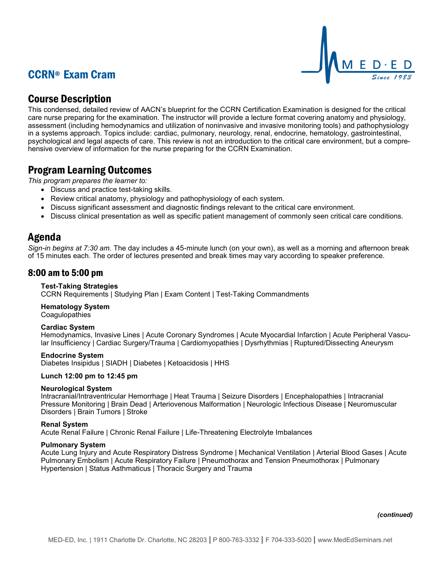# CCRN® Exam Cram



## Course Description

This condensed, detailed review of AACN's blueprint for the CCRN Certification Examination is designed for the critical care nurse preparing for the examination. The instructor will provide a lecture format covering anatomy and physiology, assessment (including hemodynamics and utilization of noninvasive and invasive monitoring tools) and pathophysiology in a systems approach. Topics include: cardiac, pulmonary, neurology, renal, endocrine, hematology, gastrointestinal, psychological and legal aspects of care. This review is not an introduction to the critical care environment, but a comprehensive overview of information for the nurse preparing for the CCRN Examination.

# Program Learning Outcomes

*This program prepares the learner to:*

- Discuss and practice test-taking skills.
- Review critical anatomy, physiology and pathophysiology of each system.
- Discuss significant assessment and diagnostic findings relevant to the critical care environment.
- Discuss clinical presentation as well as specific patient management of commonly seen critical care conditions.

### Agenda

*Sign-in begins at 7:30 am.* The day includes a 45-minute lunch (on your own), as well as a morning and afternoon break of 15 minutes each. The order of lectures presented and break times may vary according to speaker preference.

### 8:00 am to 5:00 pm

### **Test-Taking Strategies**

CCRN Requirements | Studying Plan | Exam Content | Test-Taking Commandments

**Hematology System Coagulopathies** 

#### **Cardiac System**

Hemodynamics, Invasive Lines | Acute Coronary Syndromes | Acute Myocardial Infarction | Acute Peripheral Vascular Insufficiency | Cardiac Surgery/Trauma | Cardiomyopathies | Dysrhythmias | Ruptured/Dissecting Aneurysm

#### **Endocrine System**

Diabetes Insipidus | SIADH | Diabetes | Ketoacidosis | HHS

#### **Lunch 12:00 pm to 12:45 pm**

#### **Neurological System**

Intracranial/Intraventricular Hemorrhage | Heat Trauma | Seizure Disorders | Encephalopathies | Intracranial Pressure Monitoring | Brain Dead | Arteriovenous Malformation | Neurologic Infectious Disease | Neuromuscular Disorders | Brain Tumors | Stroke

#### **Renal System**

Acute Renal Failure | Chronic Renal Failure | Life-Threatening Electrolyte Imbalances

#### **Pulmonary System**

Acute Lung Injury and Acute Respiratory Distress Syndrome | Mechanical Ventilation | Arterial Blood Gases | Acute Pulmonary Embolism | Acute Respiratory Failure | Pneumothorax and Tension Pneumothorax | Pulmonary Hypertension | Status Asthmaticus | Thoracic Surgery and Trauma